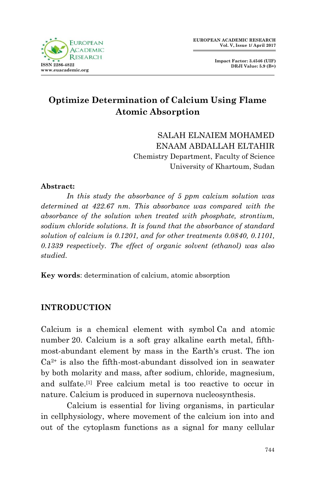

**Impact Factor: 3.4546 (UIF) DRJI Value: 5.9 (B+)**

# **Optimize Determination of Calcium Using Flame Atomic Absorption**

SALAH ELNAIEM MOHAMED ENAAM ABDALLAH ELTAHIR Chemistry Department, Faculty of Science University of Khartoum, Sudan

#### **Abstract:**

*In this study the absorbance of 5 ppm calcium solution was determined at 422.67 nm. This absorbance was compared with the absorbance of the solution when treated with phosphate, strontium, sodium chloride solutions. It is found that the absorbance of standard solution of calcium is 0.1201, and for other treatments 0.0840, 0.1101, 0.1339 respectively. The effect of organic solvent (ethanol) was also studied.*

**Key words**: determination of calcium, atomic absorption

# **INTRODUCTION**

Calcium is a [chemical element](https://en.wikipedia.org/wiki/Chemical_element) with symbol Ca and [atomic](https://en.wikipedia.org/wiki/Atomic_number)  [number](https://en.wikipedia.org/wiki/Atomic_number) 20. Calcium is a soft gray [alkaline earth metal,](https://en.wikipedia.org/wiki/Alkaline_earth_metal) [fifth](https://en.wikipedia.org/wiki/Abundance_of_the_chemical_elements)[most-abundant element by mass](https://en.wikipedia.org/wiki/Abundance_of_the_chemical_elements) in the [Earth'](https://en.wikipedia.org/wiki/Earth)s [crust.](https://en.wikipedia.org/wiki/Crust_(geology)) The ion  $Ca<sup>2+</sup>$  is also the fifth-most-abundant dissolved [ion](https://en.wikipedia.org/wiki/Ion) in [seawater](https://en.wikipedia.org/wiki/Seawater) by both [molarity](https://en.wikipedia.org/wiki/Molarity) and mass, after [sodium,](https://en.wikipedia.org/wiki/Sodium) [chloride,](https://en.wikipedia.org/wiki/Chloride) [magnesium,](https://en.wikipedia.org/wiki/Magnesium) and [sulfate.](https://en.wikipedia.org/wiki/Sulfate) [\[1\]](https://en.wikipedia.org/wiki/Calcium#cite_note-4) Free calcium metal is too reactive to occur in nature. Calcium is produced in [supernova nucleosynthesis.](https://en.wikipedia.org/wiki/Supernova_nucleosynthesis)

Calcium is essential for living [organisms,](https://en.wikipedia.org/wiki/Organism) in particular in [cellphysiology,](https://en.wikipedia.org/wiki/Cell_(biology)) where movement of the calcium ion into and out of the [cytoplasm](https://en.wikipedia.org/wiki/Cytoplasm) functions as a signal for many cellular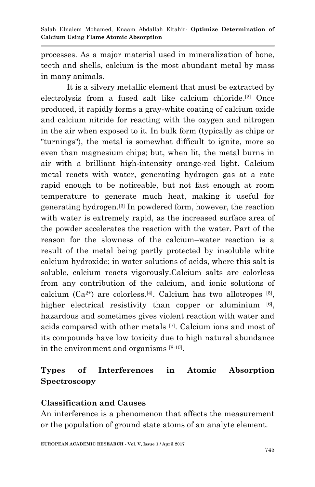processes. As a major material used in mineralization of [bone,](https://en.wikipedia.org/wiki/Bone) [teeth](https://en.wikipedia.org/wiki/Tooth) and [shells,](https://en.wikipedia.org/wiki/Exoskeleton) calcium is the most abundant [metal](https://en.wikipedia.org/wiki/Metal) by mass in many [animals.](https://en.wikipedia.org/wiki/Animal)

It is a silvery metallic element that must be extracted by [electrolysis](https://en.wikipedia.org/wiki/Electrolysis) from a fused [salt](https://en.wikipedia.org/wiki/Salt_(chemistry)) like [calcium chloride.](https://en.wikipedia.org/wiki/Calcium_chloride) [\[2\]](https://en.wikipedia.org/wiki/Calcium#cite_note-pauling-5) Once produced, it rapidly forms a gray-white coating of [calcium oxide](https://en.wikipedia.org/wiki/Calcium_oxide) and [calcium nitride](https://en.wikipedia.org/wiki/Calcium_nitride) for reacting with the [oxygen](https://en.wikipedia.org/wiki/Oxygen) and [nitrogen](https://en.wikipedia.org/wiki/Nitrogen) in the [air](https://en.wikipedia.org/wiki/Air) when exposed to it. In bulk form (typically as chips or "turnings"), the metal is somewhat difficult to ignite, more so even than magnesium chips; but, when lit, the metal burns in air with a brilliant high-intensity orange-red light. Calcium metal reacts with [water,](https://en.wikipedia.org/wiki/Water) generating hydrogen gas at a rate rapid enough to be noticeable, but not fast enough at room temperature to generate much heat, making it useful for generating hydrogen.[\[3\]](https://en.wikipedia.org/wiki/Calcium#cite_note-6) In powdered form, however, the reaction with water is extremely rapid, as the increased surface area of the powder accelerates the reaction with the water. Part of the reason for the slowness of the calcium–water reaction is a result of the metal being partly protected by insoluble white [calcium hydroxide;](https://en.wikipedia.org/wiki/Calcium_hydroxide) in water solutions of acids, where this salt is soluble, calcium reacts vigorously.Calcium salts are colorless from any contribution of the calcium, and ionic solutions of calcium  $(Ca^{2+})$  are colorless.<sup>[\[4\]](https://en.wikipedia.org/wiki/Calcium#cite_note-10)</sup>. Calcium has two allotropes <sup>[5]</sup>, higher electrical resistivity than copper or aluminium [6], hazardous and sometimes gives violent reaction with water and acids compared with other metals [7]. Calcium ions and most of its compounds have low toxicity due to high natural abundance in the environment and organisms [8-10].

# **Types of Interferences in Atomic Absorption Spectroscopy**

# **Classification and Causes**

An interference is a phenomenon that affects the measurement or the population of ground state atoms of an analyte element.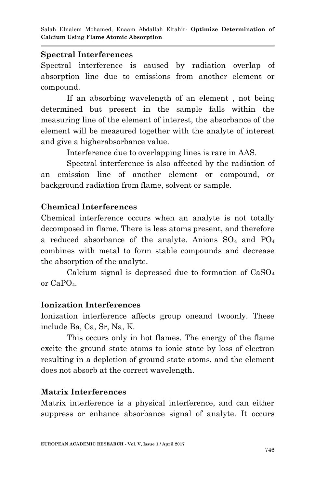#### **Spectral Interferences**

Spectral interference is caused by radiation overlap of absorption line due to emissions from another element or compound.

If an absorbing wavelength of an element , not being determined but present in the sample falls within the measuring line of the element of interest, the absorbance of the element will be measured together with the analyte of interest and give a higherabsorbance value.

Interference due to overlapping lines is rare in AAS.

Spectral interference is also affected by the radiation of an emission line of another element or compound, or background radiation from flame, solvent or sample.

## **Chemical Interferences**

Chemical interference occurs when an analyte is not totally decomposed in flame. There is less atoms present, and therefore a reduced absorbance of the analyte. Anions  $SO_4$  and  $PO_4$ combines with metal to form stable compounds and decrease the absorption of the analyte.

Calcium signal is depressed due to formation of  $CaSO<sub>4</sub>$ or CaPO4.

### **Ionization Interferences**

Ionization interference affects group oneand twoonly. These include Ba, Ca, Sr, Na, K.

This occurs only in hot flames. The energy of the flame excite the ground state atoms to ionic state by loss of electron resulting in a depletion of ground state atoms, and the element does not absorb at the correct wavelength.

### **Matrix Interferences**

Matrix interference is a physical interference, and can either suppress or enhance absorbance signal of analyte. It occurs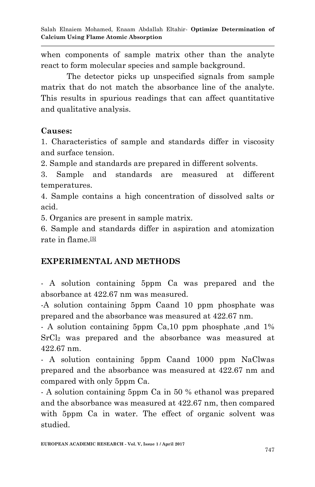when components of sample matrix other than the analyte react to form molecular species and sample background.

The detector picks up unspecified signals from sample matrix that do not match the absorbance line of the analyte. This results in spurious readings that can affect quantitative and qualitative analysis.

## **Causes:**

1. Characteristics of sample and standards differ in viscosity and surface tension.

2. Sample and standards are prepared in different solvents.

3. Sample and standards are measured at different temperatures.

4. Sample contains a high concentration of dissolved salts or acid.

5. Organics are present in sample matrix.

6. Sample and standards differ in aspiration and atomization rate in flame.<sup>[\[5\]](https://en.wikipedia.org/wiki/Calcium#cite_note-69)</sup>

# **EXPERIMENTAL AND METHODS**

- A solution containing 5ppm Ca was prepared and the absorbance at 422.67 nm was measured.

-A solution containing 5ppm Caand 10 ppm phosphate was prepared and the absorbance was measured at 422.67 nm.

- A solution containing 5ppm Ca,10 ppm phosphate ,and 1% SrCl<sup>2</sup> was prepared and the absorbance was measured at 422.67 nm.

- A solution containing 5ppm Caand 1000 ppm NaClwas prepared and the absorbance was measured at 422.67 nm and compared with only 5ppm Ca.

- A solution containing 5ppm Ca in 50 % ethanol was prepared and the absorbance was measured at 422.67 nm, then compared with 5ppm Ca in water. The effect of organic solvent was studied.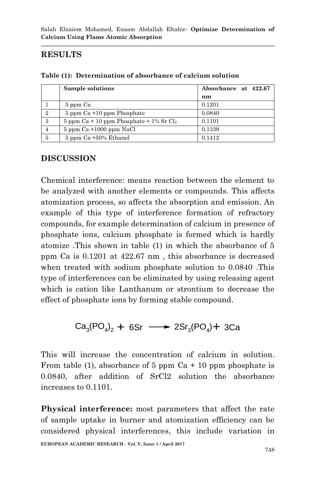# **RESULTS**

|                | Sample solutions                               | Absorbance at 422.67 |
|----------------|------------------------------------------------|----------------------|
|                |                                                | nm                   |
|                | 5 ppm Ca                                       | 0.1201               |
| $\overline{2}$ | $5$ ppm $Ca + 10$ ppm Phosphate                | 0.0840               |
| 3              | 5 ppm $Ca + 10$ ppm Phosphate + $1\%$ Sr $Cl2$ | 0.1101               |
|                | $5$ ppm $Ca + 1000$ ppm NaCl                   | 0.1339               |
| 5              | $5$ ppm $Ca + 50\%$ Ethanol                    | 0.1412               |

**Table (1): Determination of absorbance of calcium solution**

## **DISCUSSION**

Chemical interference: means reaction between the element to be analyzed with another elements or compounds. This affects atomization process, so affects the absorption and emission. An example of this type of interference formation of refractory compounds, for example determination of calcium in presence of phosphate ions, calcium phosphate is formed which is hardly atomize .This shown in table (1) in which the absorbance of 5 ppm Ca is 0.1201 at 422.67 nm , this absorbance is decreased when treated with sodium phosphate solution to 0.0840 .This type of interferences can be eliminated by using releasing agent which is cation like Lanthanum or strontium to decrease the effect of phosphate ions by forming stable compound.

 $Ca_3(PO_4)_2 + 6Sr \longrightarrow 2Sr_3(PO_4) + 3Ca$ 

This will increase the concentration of calcium in solution. From table (1), absorbance of 5 ppm  $Ca + 10$  ppm phosphate is 0.0840, after addition of SrCl2 solution the absorbance increases to 0.1101.

**Physical interference:** most parameters that affect the rate of sample uptake in burner and atomization efficiency can be considered physical interferences, this include variation in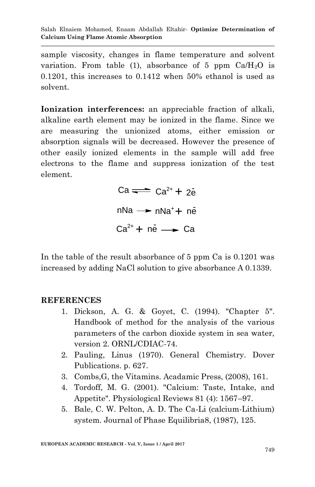Salah Elnaiem Mohamed, Enaam Abdallah Eltahir*-* **Optimize Determination of Calcium Using Flame Atomic Absorption**

sample viscosity, changes in flame temperature and solvent variation. From table (1), absorbance of 5 ppm  $Ca/H<sub>2</sub>O$  is 0.1201, this increases to 0.1412 when 50% ethanol is used as solvent.

**Ionization interferences:** an appreciable fraction of alkali, alkaline earth element may be ionized in the flame. Since we are measuring the unionized atoms, either emission or absorption signals will be decreased. However the presence of other easily ionized elements in the sample will add free electrons to the flame and suppress ionization of the test element.

> $Ca \rightleftharpoons Ca^{2+} + 2e^{-}$  $nNa \rightarrow nNa^{+} + n\bar{e}$  $Ca^{2+} + ne \rightarrow Ca$

In the table of the result absorbance of 5 ppm Ca is 0.1201 was increased by adding NaCl solution to give absorbance A 0.1339.

#### **REFERENCES**

- 1. Dickson, A. G. & Goyet, C. (1994). "Chapter 5". Handbook of method for the analysis of the various parameters of the carbon dioxide system in sea water, version 2. ORNL/CDIAC-74.
- 2. Pauling, Linus (1970). General Chemistry. Dover Publications. p. 627.
- 3. Combs,G, the Vitamins. Acadamic Press, (2008), 161.
- 4. Tordoff, M. G. (2001). "Calcium: Taste, Intake, and Appetite". Physiological Reviews 81 (4): 1567–97.
- 5. Bale, C. W. Pelton, A. D. The Ca-Li (calcium-Lithium) system. Journal of Phase Equilibria8, (1987), 125.